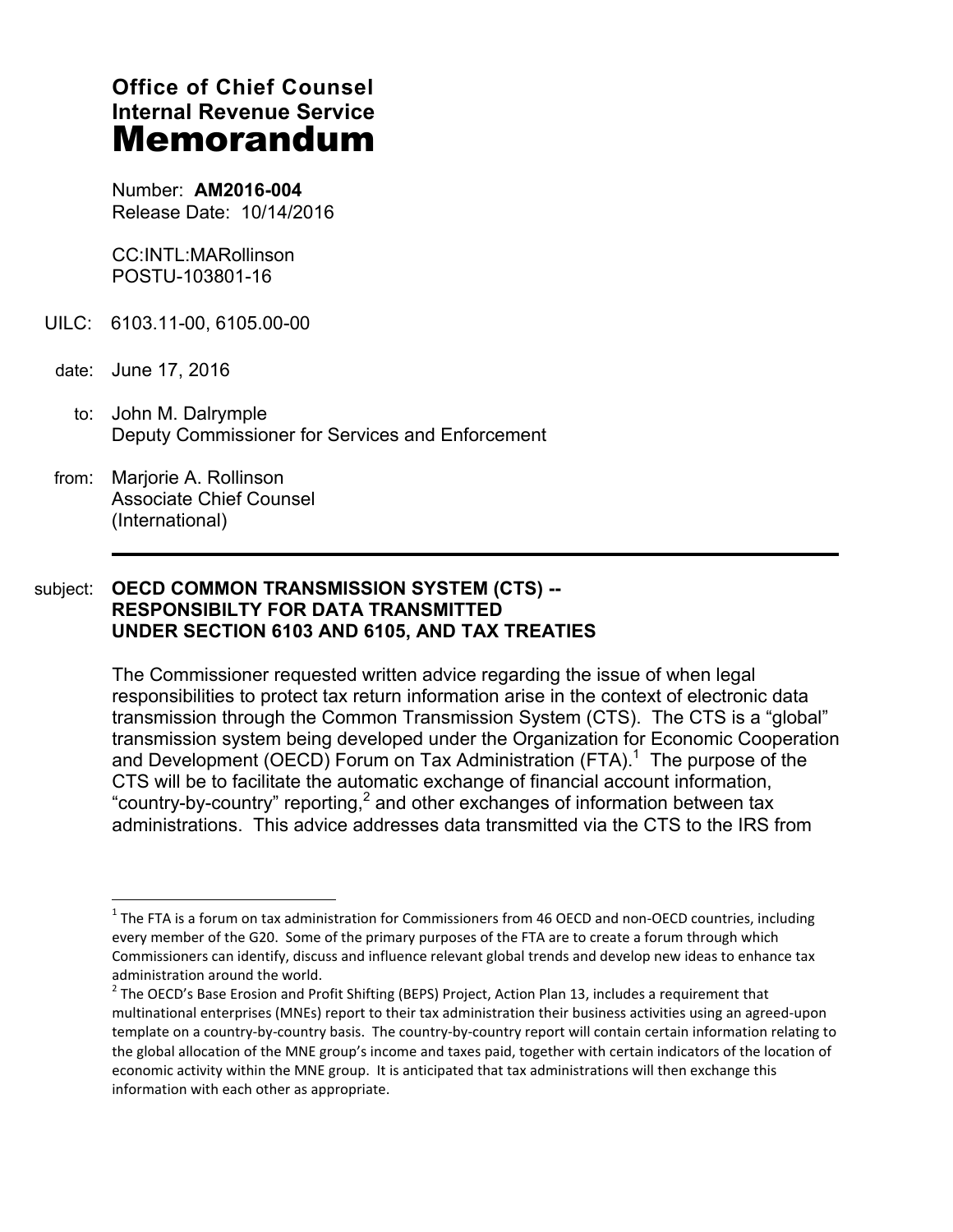# **Office of Chief Counsel Internal Revenue Service Memorandum**

Number: **AM2016-004** Release Date: 10/14/2016

CC:INTL:MARollinson POSTU-103801-16

- UILC: 6103.11-00, 6105.00-00
- date: June 17, 2016

 $\overline{a}$ 

- to: John M. Dalrymple Deputy Commissioner for Services and Enforcement
- from: Marjorie A. Rollinson Associate Chief Counsel (International)

## subject: **OECD COMMON TRANSMISSION SYSTEM (CTS) -- RESPONSIBILTY FOR DATA TRANSMITTED UNDER SECTION 6103 AND 6105, AND TAX TREATIES**

The Commissioner requested written advice regarding the issue of when legal responsibilities to protect tax return information arise in the context of electronic data transmission through the Common Transmission System (CTS). The CTS is a "global" transmission system being developed under the Organization for Economic Cooperation and Development (OECD) Forum on Tax Administration (FTA).<sup>1</sup> The purpose of the CTS will be to facilitate the automatic exchange of financial account information, "country-by-country" reporting,<sup>2</sup> and other exchanges of information between tax administrations. This advice addresses data transmitted via the CTS to the IRS from

 $1$  The FTA is a forum on tax administration for Commissioners from 46 OECD and non-OECD countries, including every member of the G20. Some of the primary purposes of the FTA are to create a forum through which Commissioners can identify, discuss and influence relevant global trends and develop new ideas to enhance tax administration around the world.

 $^2$  The OECD's Base Erosion and Profit Shifting (BEPS) Project, Action Plan 13, includes a requirement that multinational enterprises (MNEs) report to their tax administration their business activities using an agreed-upon template on a country-by-country basis. The country-by-country report will contain certain information relating to the global allocation of the MNE group's income and taxes paid, together with certain indicators of the location of economic activity within the MNE group. It is anticipated that tax administrations will then exchange this information with each other as appropriate.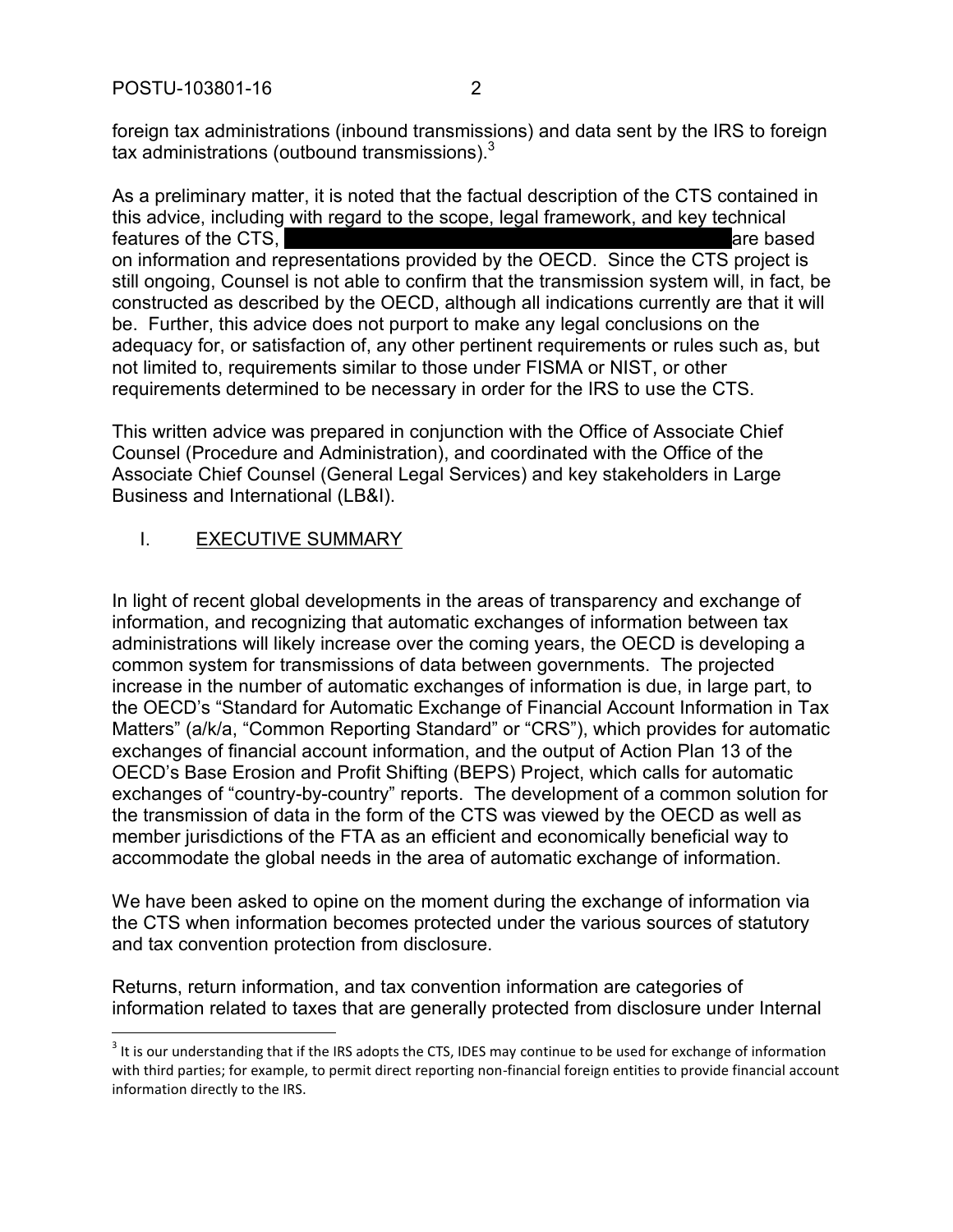foreign tax administrations (inbound transmissions) and data sent by the IRS to foreign tax administrations (outbound transmissions).<sup>3</sup>

As a preliminary matter, it is noted that the factual description of the CTS contained in this advice, including with regard to the scope, legal framework, and key technical features of the CTS, and the CTS, are based and the control of the CTS, are based and the control of the CTS,  $\alpha$ on information and representations provided by the OECD. Since the CTS project is still ongoing, Counsel is not able to confirm that the transmission system will, in fact, be constructed as described by the OECD, although all indications currently are that it will be. Further, this advice does not purport to make any legal conclusions on the adequacy for, or satisfaction of, any other pertinent requirements or rules such as, but not limited to, requirements similar to those under FISMA or NIST, or other requirements determined to be necessary in order for the IRS to use the CTS.

This written advice was prepared in conjunction with the Office of Associate Chief Counsel (Procedure and Administration), and coordinated with the Office of the Associate Chief Counsel (General Legal Services) and key stakeholders in Large Business and International (LB&I).

## I. EXECUTIVE SUMMARY

 $\overline{a}$ 

In light of recent global developments in the areas of transparency and exchange of information, and recognizing that automatic exchanges of information between tax administrations will likely increase over the coming years, the OECD is developing a common system for transmissions of data between governments. The projected increase in the number of automatic exchanges of information is due, in large part, to the OECD's "Standard for Automatic Exchange of Financial Account Information in Tax Matters" (a/k/a, "Common Reporting Standard" or "CRS"), which provides for automatic exchanges of financial account information, and the output of Action Plan 13 of the OECD's Base Erosion and Profit Shifting (BEPS) Project, which calls for automatic exchanges of "country-by-country" reports. The development of a common solution for the transmission of data in the form of the CTS was viewed by the OECD as well as member jurisdictions of the FTA as an efficient and economically beneficial way to accommodate the global needs in the area of automatic exchange of information.

We have been asked to opine on the moment during the exchange of information via the CTS when information becomes protected under the various sources of statutory and tax convention protection from disclosure.

Returns, return information, and tax convention information are categories of information related to taxes that are generally protected from disclosure under Internal

 $3$  It is our understanding that if the IRS adopts the CTS, IDES may continue to be used for exchange of information with third parties; for example, to permit direct reporting non-financial foreign entities to provide financial account information directly to the IRS.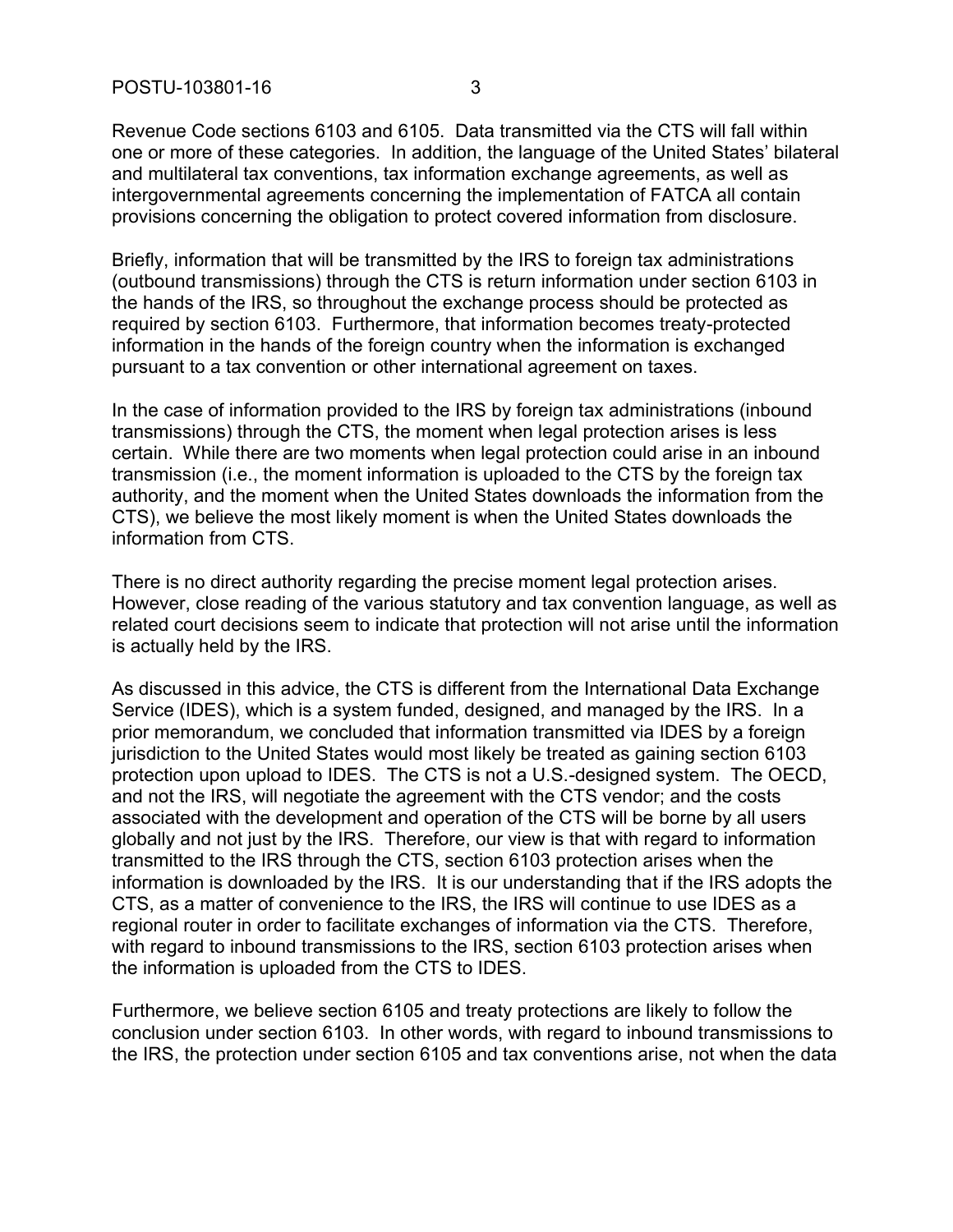Revenue Code sections 6103 and 6105. Data transmitted via the CTS will fall within one or more of these categories. In addition, the language of the United States' bilateral and multilateral tax conventions, tax information exchange agreements, as well as intergovernmental agreements concerning the implementation of FATCA all contain provisions concerning the obligation to protect covered information from disclosure.

Briefly, information that will be transmitted by the IRS to foreign tax administrations (outbound transmissions) through the CTS is return information under section 6103 in the hands of the IRS, so throughout the exchange process should be protected as required by section 6103. Furthermore, that information becomes treaty-protected information in the hands of the foreign country when the information is exchanged pursuant to a tax convention or other international agreement on taxes.

In the case of information provided to the IRS by foreign tax administrations (inbound transmissions) through the CTS, the moment when legal protection arises is less certain. While there are two moments when legal protection could arise in an inbound transmission (i.e., the moment information is uploaded to the CTS by the foreign tax authority, and the moment when the United States downloads the information from the CTS), we believe the most likely moment is when the United States downloads the information from CTS.

There is no direct authority regarding the precise moment legal protection arises. However, close reading of the various statutory and tax convention language, as well as related court decisions seem to indicate that protection will not arise until the information is actually held by the IRS.

As discussed in this advice, the CTS is different from the International Data Exchange Service (IDES), which is a system funded, designed, and managed by the IRS. In a prior memorandum, we concluded that information transmitted via IDES by a foreign jurisdiction to the United States would most likely be treated as gaining section 6103 protection upon upload to IDES. The CTS is not a U.S.-designed system. The OECD, and not the IRS, will negotiate the agreement with the CTS vendor; and the costs associated with the development and operation of the CTS will be borne by all users globally and not just by the IRS. Therefore, our view is that with regard to information transmitted to the IRS through the CTS, section 6103 protection arises when the information is downloaded by the IRS. It is our understanding that if the IRS adopts the CTS, as a matter of convenience to the IRS, the IRS will continue to use IDES as a regional router in order to facilitate exchanges of information via the CTS. Therefore, with regard to inbound transmissions to the IRS, section 6103 protection arises when the information is uploaded from the CTS to IDES.

Furthermore, we believe section 6105 and treaty protections are likely to follow the conclusion under section 6103. In other words, with regard to inbound transmissions to the IRS, the protection under section 6105 and tax conventions arise, not when the data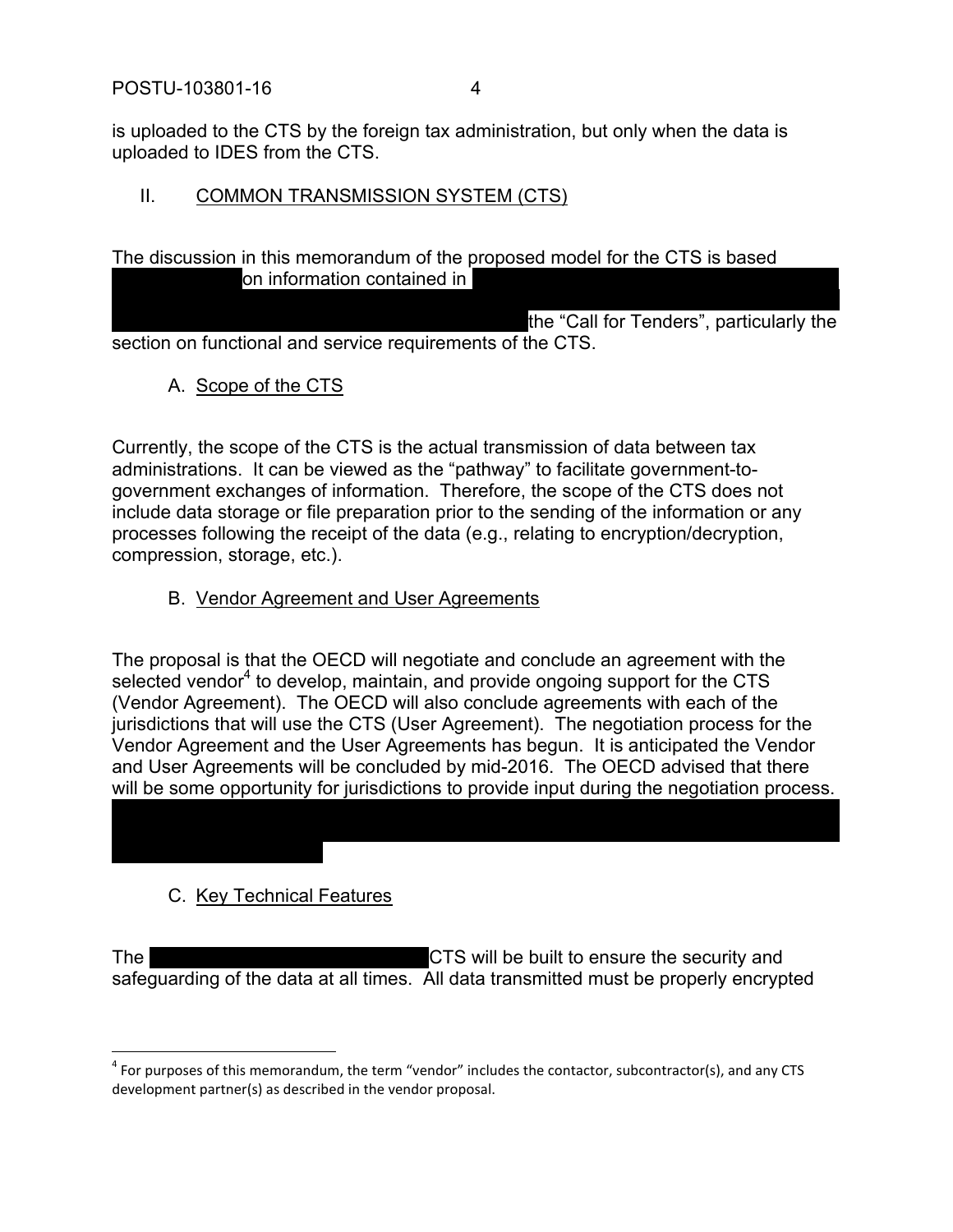is uploaded to the CTS by the foreign tax administration, but only when the data is uploaded to IDES from the CTS.

#### II. COMMON TRANSMISSION SYSTEM (CTS)

The discussion in this memorandum of the proposed model for the CTS is based on information contained in

the "Call for Tenders", particularly the section on functional and service requirements of the CTS.

A. Scope of the CTS

Currently, the scope of the CTS is the actual transmission of data between tax administrations. It can be viewed as the "pathway" to facilitate government-togovernment exchanges of information. Therefore, the scope of the CTS does not include data storage or file preparation prior to the sending of the information or any processes following the receipt of the data (e.g., relating to encryption/decryption, compression, storage, etc.).

## B. Vendor Agreement and User Agreements

The proposal is that the OECD will negotiate and conclude an agreement with the selected vendor<sup>4</sup> to develop, maintain, and provide ongoing support for the CTS (Vendor Agreement). The OECD will also conclude agreements with each of the jurisdictions that will use the CTS (User Agreement). The negotiation process for the Vendor Agreement and the User Agreements has begun. It is anticipated the Vendor and User Agreements will be concluded by mid-2016. The OECD advised that there will be some opportunity for jurisdictions to provide input during the negotiation process.

## C. Key Technical Features

The The CTS will be built to ensure the security and safeguarding of the data at all times. All data transmitted must be properly encrypted

 $<sup>4</sup>$  For purposes of this memorandum, the term "vendor" includes the contactor, subcontractor(s), and any CTS</sup> development partner(s) as described in the vendor proposal.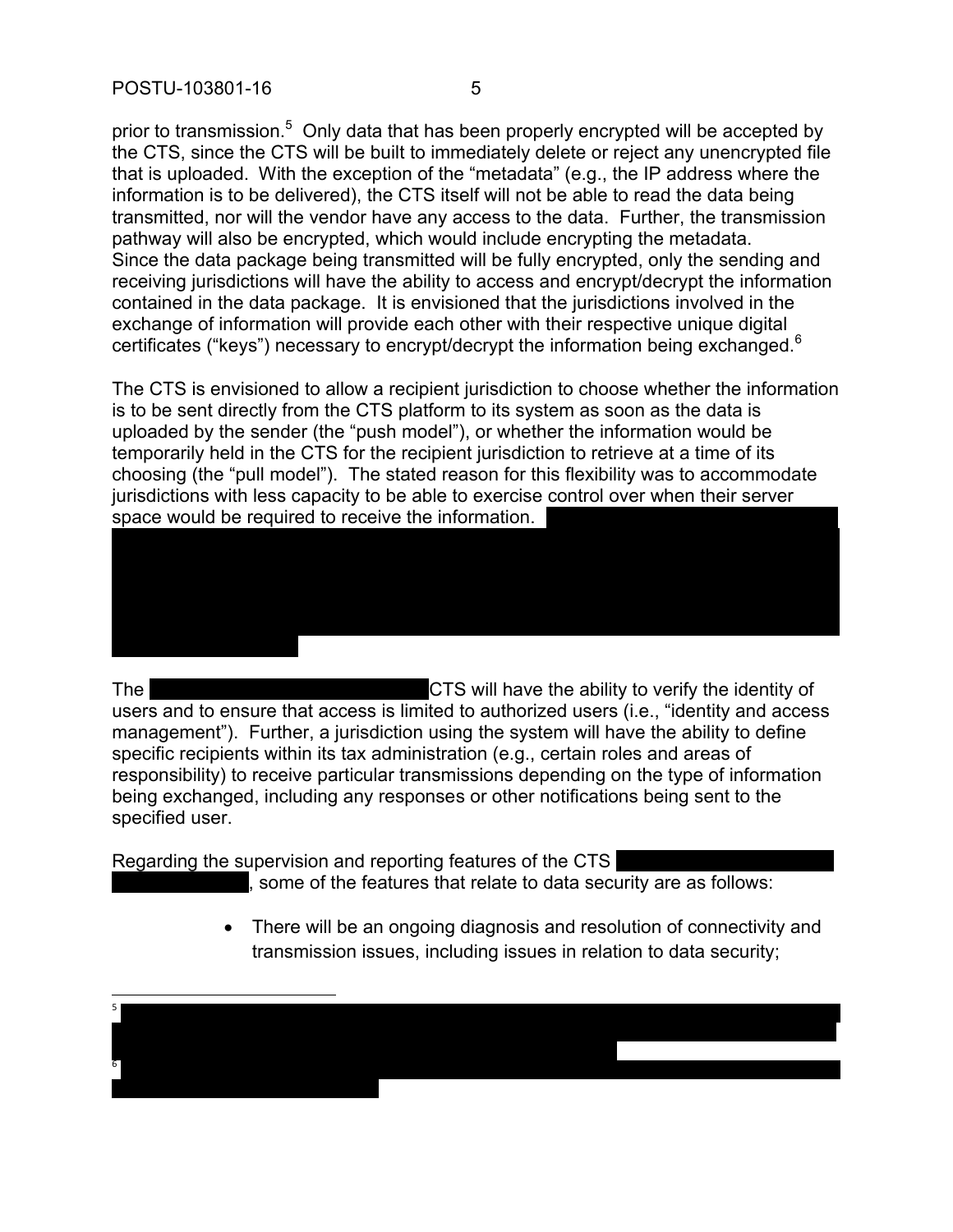prior to transmission.<sup>5</sup> Only data that has been properly encrypted will be accepted by the CTS, since the CTS will be built to immediately delete or reject any unencrypted file that is uploaded. With the exception of the "metadata" (e.g., the IP address where the information is to be delivered), the CTS itself will not be able to read the data being transmitted, nor will the vendor have any access to the data. Further, the transmission pathway will also be encrypted, which would include encrypting the metadata. Since the data package being transmitted will be fully encrypted, only the sending and receiving jurisdictions will have the ability to access and encrypt/decrypt the information contained in the data package. It is envisioned that the jurisdictions involved in the exchange of information will provide each other with their respective unique digital certificates ("keys") necessary to encrypt/decrypt the information being exchanged.<sup>6</sup>

The CTS is envisioned to allow a recipient jurisdiction to choose whether the information is to be sent directly from the CTS platform to its system as soon as the data is uploaded by the sender (the "push model"), or whether the information would be temporarily held in the CTS for the recipient jurisdiction to retrieve at a time of its choosing (the "pull model"). The stated reason for this flexibility was to accommodate jurisdictions with less capacity to be able to exercise control over when their server space would be required to receive the information.

The The CTS will have the ability to verify the identity of users and to ensure that access is limited to authorized users (i.e., "identity and access management"). Further, a jurisdiction using the system will have the ability to define specific recipients within its tax administration (e.g., certain roles and areas of responsibility) to receive particular transmissions depending on the type of information being exchanged, including any responses or other notifications being sent to the specified user.

Regarding the supervision and reporting features of the CTS

, some of the features that relate to data security are as follows:

 There will be an ongoing diagnosis and resolution of connectivity and transmission issues, including issues in relation to data security;

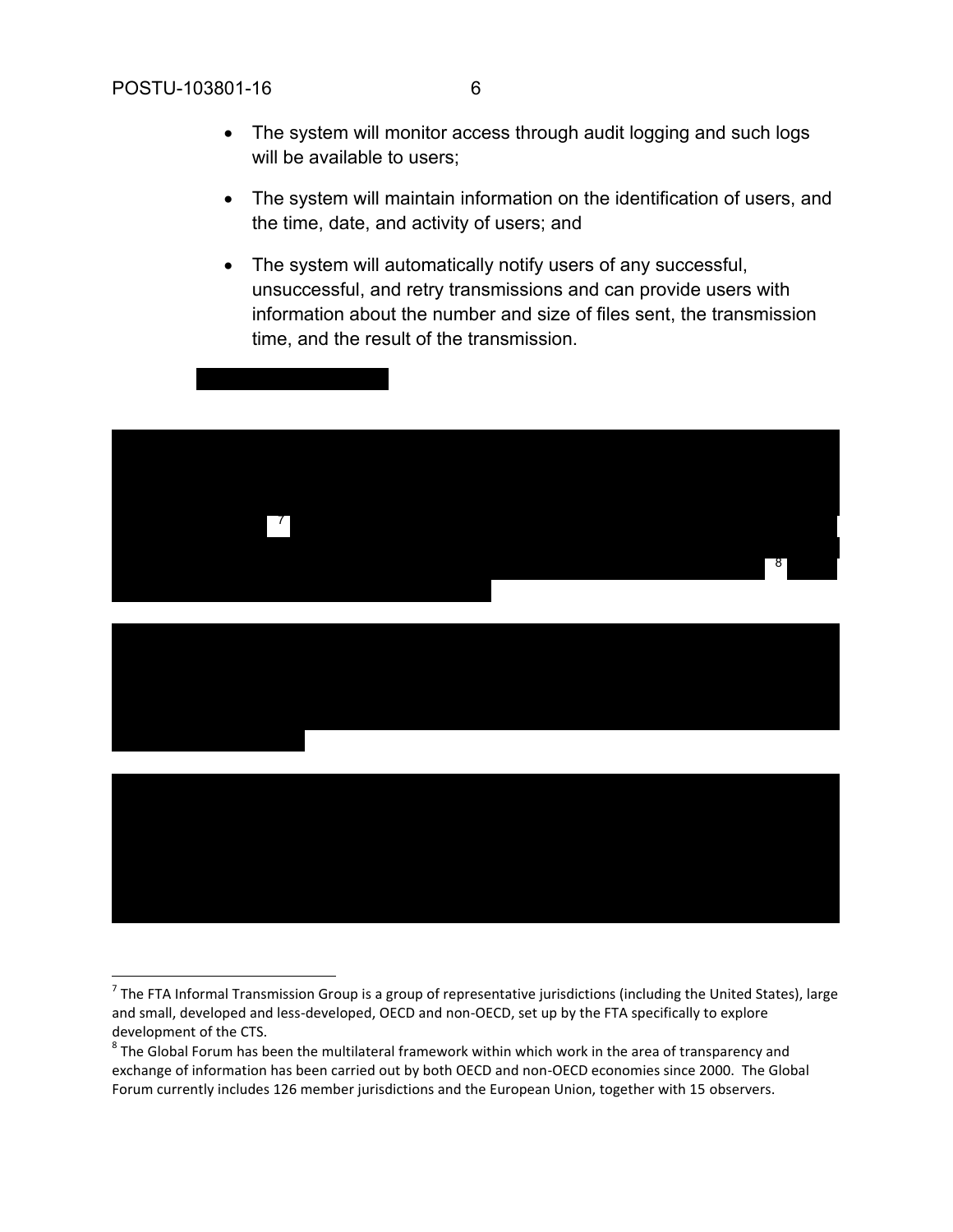$\overline{a}$ 

- will be available to users; The system will maintain information on the identification of users, and
- The system will automatically notify users of any successful, unsuccessful, and retry transmissions and can provide users with information about the number and size of files sent, the transmission time, and the result of the transmission.



<sup>&</sup>lt;sup>7</sup> The FTA Informal Transmission Group is a group of representative jurisdictions (including the United States), large and small, developed and less-developed, OECD and non-OECD, set up by the FTA specifically to explore development of the CTS.

the time, date, and activity of users; and

 $^8$  The Global Forum has been the multilateral framework within which work in the area of transparency and exchange of information has been carried out by both OECD and non-OECD economies since 2000. The Global Forum currently includes 126 member jurisdictions and the European Union, together with 15 observers.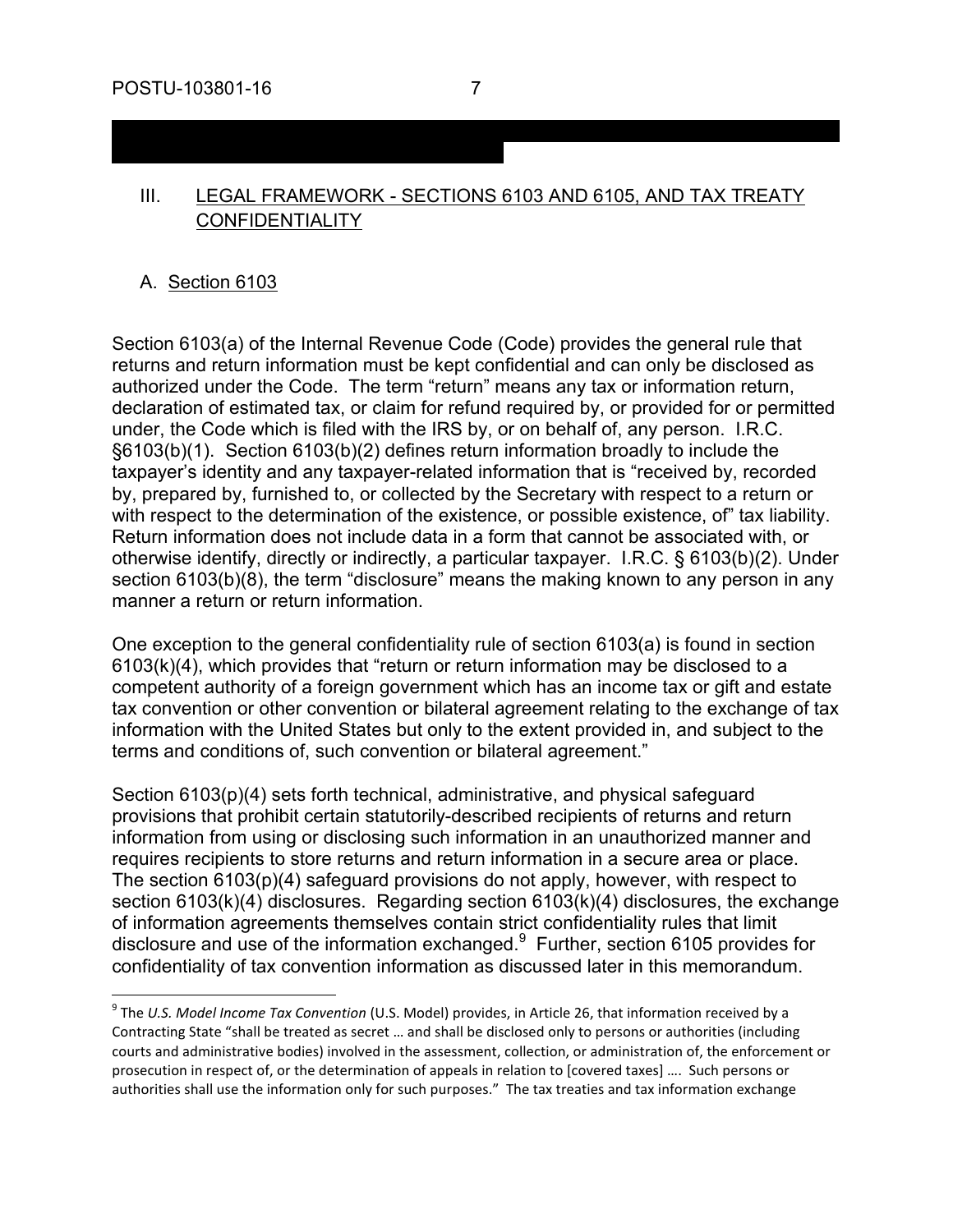## III. LEGAL FRAMEWORK - SECTIONS 6103 AND 6105, AND TAX TREATY **CONFIDENTIALITY**

#### A. Section 6103

 $\overline{a}$ 

Section 6103(a) of the Internal Revenue Code (Code) provides the general rule that returns and return information must be kept confidential and can only be disclosed as authorized under the Code. The term "return" means any tax or information return, declaration of estimated tax, or claim for refund required by, or provided for or permitted under, the Code which is filed with the IRS by, or on behalf of, any person. I.R.C. §6103(b)(1). Section 6103(b)(2) defines return information broadly to include the taxpayer's identity and any taxpayer-related information that is "received by, recorded by, prepared by, furnished to, or collected by the Secretary with respect to a return or with respect to the determination of the existence, or possible existence, of" tax liability. Return information does not include data in a form that cannot be associated with, or otherwise identify, directly or indirectly, a particular taxpayer. I.R.C. § 6103(b)(2). Under section 6103(b)(8), the term "disclosure" means the making known to any person in any manner a return or return information.

One exception to the general confidentiality rule of section 6103(a) is found in section 6103(k)(4), which provides that "return or return information may be disclosed to a competent authority of a foreign government which has an income tax or gift and estate tax convention or other convention or bilateral agreement relating to the exchange of tax information with the United States but only to the extent provided in, and subject to the terms and conditions of, such convention or bilateral agreement."

Section 6103(p)(4) sets forth technical, administrative, and physical safeguard provisions that prohibit certain statutorily-described recipients of returns and return information from using or disclosing such information in an unauthorized manner and requires recipients to store returns and return information in a secure area or place. The section 6103(p)(4) safeguard provisions do not apply, however, with respect to section 6103(k)(4) disclosures. Regarding section 6103(k)(4) disclosures, the exchange of information agreements themselves contain strict confidentiality rules that limit disclosure and use of the information exchanged.<sup>9</sup> Further, section 6105 provides for confidentiality of tax convention information as discussed later in this memorandum.

<sup>9</sup> The *U.S. Model Income Tax Convention* (U.S. Model) provides, in Article 26, that information received by a Contracting State "shall be treated as secret … and shall be disclosed only to persons or authorities (including courts and administrative bodies) involved in the assessment, collection, or administration of, the enforcement or prosecution in respect of, or the determination of appeals in relation to [covered taxes] …. Such persons or authorities shall use the information only for such purposes." The tax treaties and tax information exchange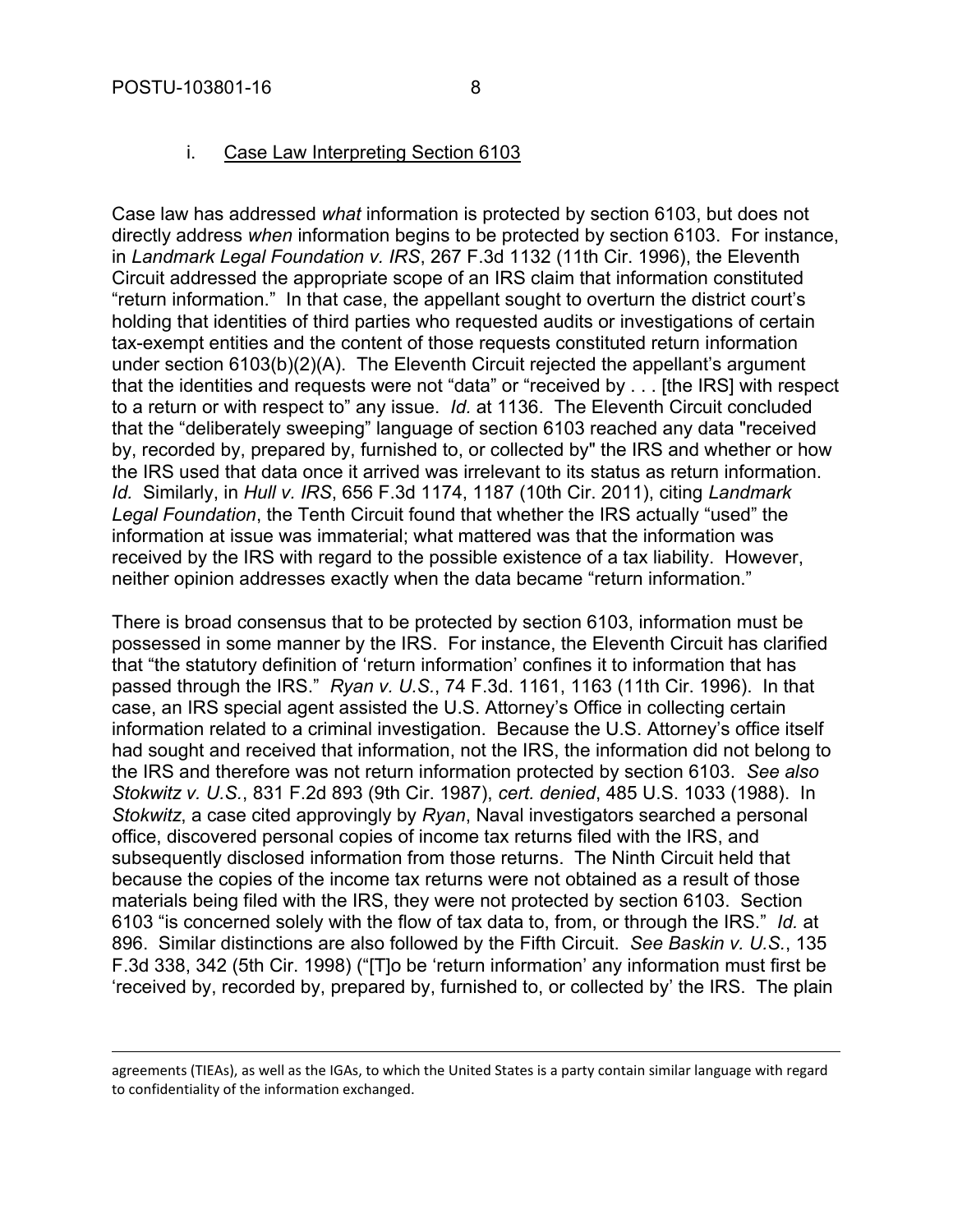1

#### i. Case Law Interpreting Section 6103

Case law has addressed *what* information is protected by section 6103, but does not directly address *when* information begins to be protected by section 6103. For instance, in *Landmark Legal Foundation v. IRS*, 267 F.3d 1132 (11th Cir. 1996), the Eleventh Circuit addressed the appropriate scope of an IRS claim that information constituted "return information." In that case, the appellant sought to overturn the district court's holding that identities of third parties who requested audits or investigations of certain tax-exempt entities and the content of those requests constituted return information under section 6103(b)(2)(A). The Eleventh Circuit rejected the appellant's argument that the identities and requests were not "data" or "received by . . . [the IRS] with respect to a return or with respect to" any issue. *Id.* at 1136. The Eleventh Circuit concluded that the "deliberately sweeping" language of section 6103 reached any data "received by, recorded by, prepared by, furnished to, or collected by" the IRS and whether or how the IRS used that data once it arrived was irrelevant to its status as return information. *Id.* Similarly, in *Hull v. IRS*, 656 F.3d 1174, 1187 (10th Cir. 2011), citing *Landmark Legal Foundation*, the Tenth Circuit found that whether the IRS actually "used" the information at issue was immaterial; what mattered was that the information was received by the IRS with regard to the possible existence of a tax liability. However, neither opinion addresses exactly when the data became "return information."

There is broad consensus that to be protected by section 6103, information must be possessed in some manner by the IRS. For instance, the Eleventh Circuit has clarified that "the statutory definition of 'return information' confines it to information that has passed through the IRS." *Ryan v. U.S.*, 74 F.3d. 1161, 1163 (11th Cir. 1996). In that case, an IRS special agent assisted the U.S. Attorney's Office in collecting certain information related to a criminal investigation. Because the U.S. Attorney's office itself had sought and received that information, not the IRS, the information did not belong to the IRS and therefore was not return information protected by section 6103. *See also Stokwitz v. U.S.*, 831 F.2d 893 (9th Cir. 1987), *cert. denied*, 485 U.S. 1033 (1988). In *Stokwitz*, a case cited approvingly by *Ryan*, Naval investigators searched a personal office, discovered personal copies of income tax returns filed with the IRS, and subsequently disclosed information from those returns. The Ninth Circuit held that because the copies of the income tax returns were not obtained as a result of those materials being filed with the IRS, they were not protected by section 6103. Section 6103 "is concerned solely with the flow of tax data to, from, or through the IRS." *Id.* at 896. Similar distinctions are also followed by the Fifth Circuit. *See Baskin v. U.S.*, 135 F.3d 338, 342 (5th Cir. 1998) ("[T]o be 'return information' any information must first be 'received by, recorded by, prepared by, furnished to, or collected by' the IRS. The plain

agreements (TIEAs), as well as the IGAs, to which the United States is a party contain similar language with regard to confidentiality of the information exchanged.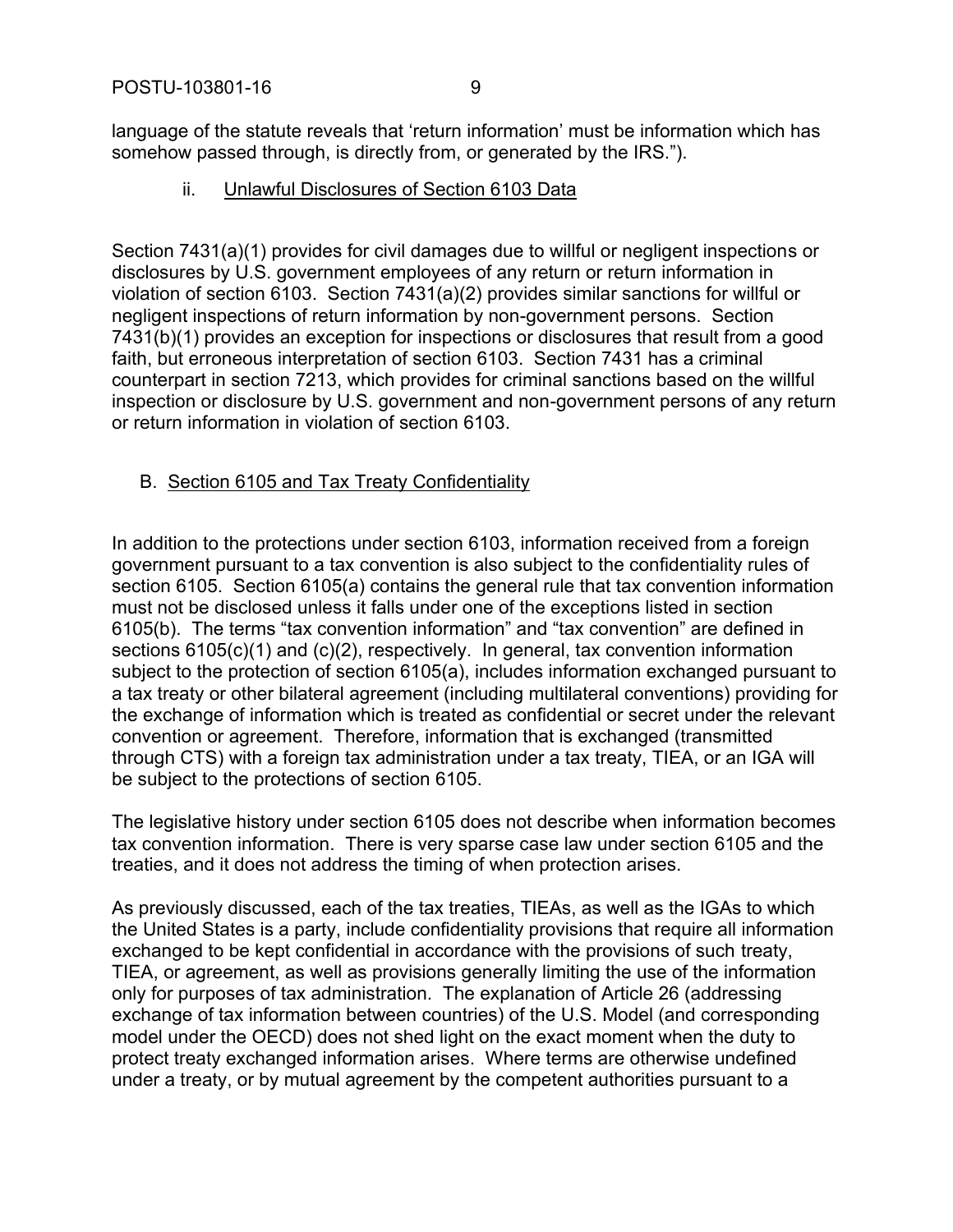language of the statute reveals that 'return information' must be information which has somehow passed through, is directly from, or generated by the IRS.").

ii. Unlawful Disclosures of Section 6103 Data

Section 7431(a)(1) provides for civil damages due to willful or negligent inspections or disclosures by U.S. government employees of any return or return information in violation of section 6103. Section 7431(a)(2) provides similar sanctions for willful or negligent inspections of return information by non-government persons. Section 7431(b)(1) provides an exception for inspections or disclosures that result from a good faith, but erroneous interpretation of section 6103. Section 7431 has a criminal counterpart in section 7213, which provides for criminal sanctions based on the willful inspection or disclosure by U.S. government and non-government persons of any return or return information in violation of section 6103.

## B. Section 6105 and Tax Treaty Confidentiality

In addition to the protections under section 6103, information received from a foreign government pursuant to a tax convention is also subject to the confidentiality rules of section 6105. Section 6105(a) contains the general rule that tax convention information must not be disclosed unless it falls under one of the exceptions listed in section 6105(b). The terms "tax convention information" and "tax convention" are defined in sections 6105(c)(1) and (c)(2), respectively. In general, tax convention information subject to the protection of section 6105(a), includes information exchanged pursuant to a tax treaty or other bilateral agreement (including multilateral conventions) providing for the exchange of information which is treated as confidential or secret under the relevant convention or agreement. Therefore, information that is exchanged (transmitted through CTS) with a foreign tax administration under a tax treaty, TIEA, or an IGA will be subject to the protections of section 6105.

The legislative history under section 6105 does not describe when information becomes tax convention information. There is very sparse case law under section 6105 and the treaties, and it does not address the timing of when protection arises.

As previously discussed, each of the tax treaties, TIEAs, as well as the IGAs to which the United States is a party, include confidentiality provisions that require all information exchanged to be kept confidential in accordance with the provisions of such treaty, TIEA, or agreement, as well as provisions generally limiting the use of the information only for purposes of tax administration. The explanation of Article 26 (addressing exchange of tax information between countries) of the U.S. Model (and corresponding model under the OECD) does not shed light on the exact moment when the duty to protect treaty exchanged information arises. Where terms are otherwise undefined under a treaty, or by mutual agreement by the competent authorities pursuant to a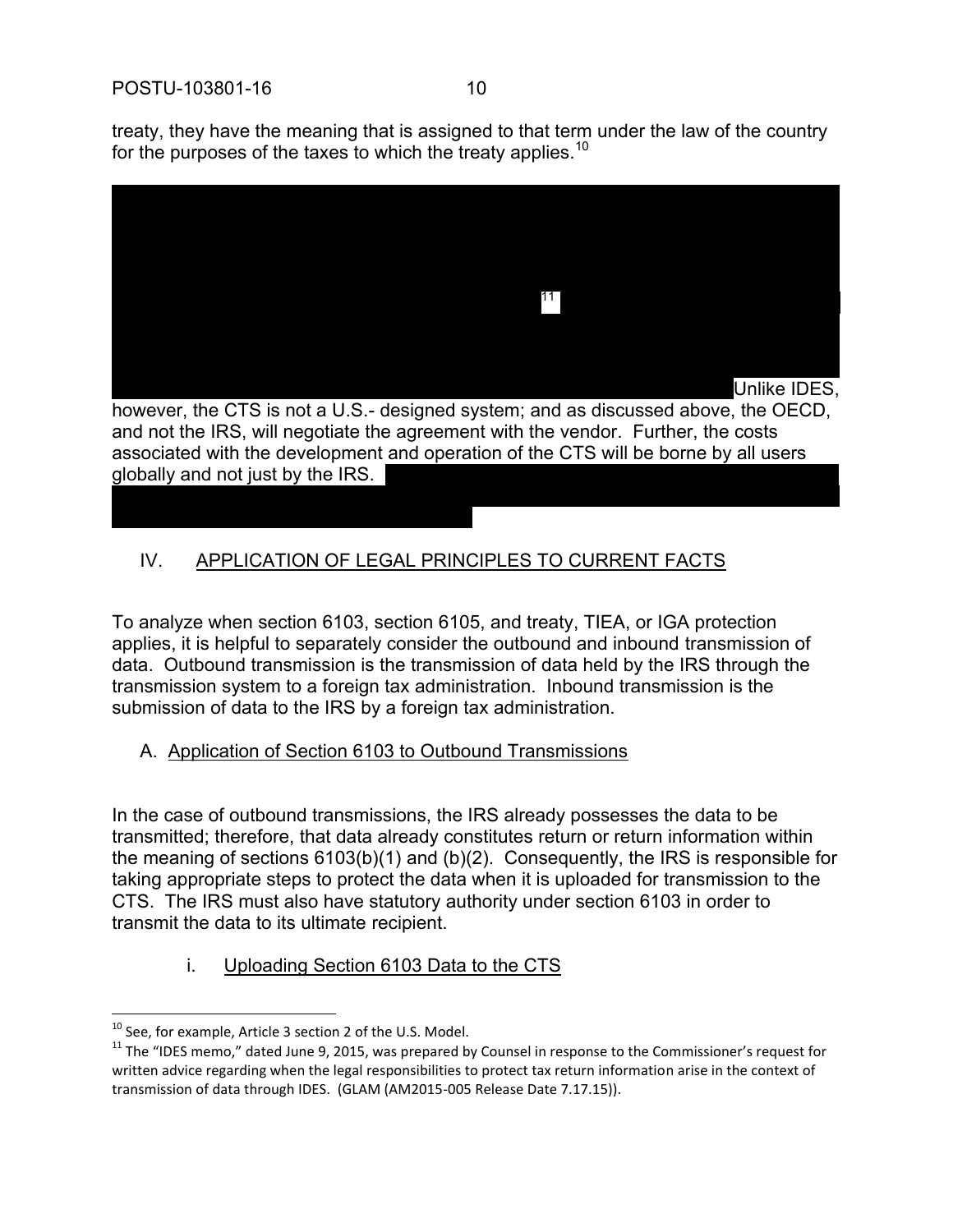

11 Unlike IDES,

however, the CTS is not a U.S.- designed system; and as discussed above, the OECD, and not the IRS, will negotiate the agreement with the vendor. Further, the costs associated with the development and operation of the CTS will be borne by all users globally and not just by the IRS.

## IV. APPLICATION OF LEGAL PRINCIPLES TO CURRENT FACTS

To analyze when section 6103, section 6105, and treaty, TIEA, or IGA protection applies, it is helpful to separately consider the outbound and inbound transmission of data. Outbound transmission is the transmission of data held by the IRS through the transmission system to a foreign tax administration. Inbound transmission is the submission of data to the IRS by a foreign tax administration.

## A. Application of Section 6103 to Outbound Transmissions

In the case of outbound transmissions, the IRS already possesses the data to be transmitted; therefore, that data already constitutes return or return information within the meaning of sections 6103(b)(1) and (b)(2). Consequently, the IRS is responsible for taking appropriate steps to protect the data when it is uploaded for transmission to the CTS. The IRS must also have statutory authority under section 6103 in order to transmit the data to its ultimate recipient.

i. Uploading Section 6103 Data to the CTS

 $\overline{a}$  $10$  See, for example, Article 3 section 2 of the U.S. Model.

<sup>&</sup>lt;sup>11</sup> The "IDES memo," dated June 9, 2015, was prepared by Counsel in response to the Commissioner's request for written advice regarding when the legal responsibilities to protect tax return information arise in the context of transmission of data through IDES. (GLAM (AM2015-005 Release Date 7.17.15)).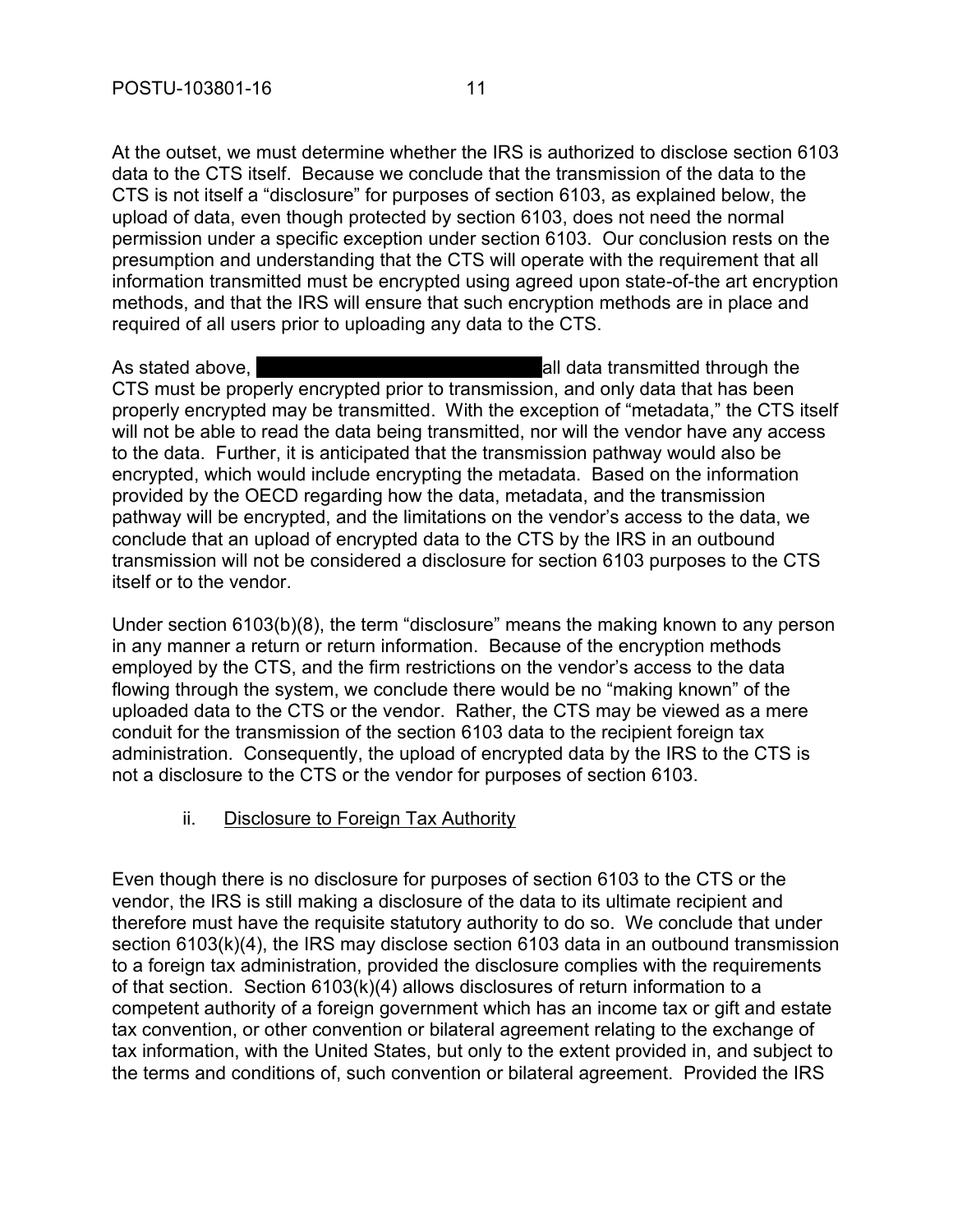At the outset, we must determine whether the IRS is authorized to disclose section 6103 data to the CTS itself. Because we conclude that the transmission of the data to the CTS is not itself a "disclosure" for purposes of section 6103, as explained below, the upload of data, even though protected by section 6103, does not need the normal permission under a specific exception under section 6103. Our conclusion rests on the presumption and understanding that the CTS will operate with the requirement that all information transmitted must be encrypted using agreed upon state-of-the art encryption methods, and that the IRS will ensure that such encryption methods are in place and required of all users prior to uploading any data to the CTS.

As stated above, all data transmitted through the CTS must be properly encrypted prior to transmission, and only data that has been properly encrypted may be transmitted. With the exception of "metadata," the CTS itself will not be able to read the data being transmitted, nor will the vendor have any access to the data. Further, it is anticipated that the transmission pathway would also be encrypted, which would include encrypting the metadata. Based on the information provided by the OECD regarding how the data, metadata, and the transmission pathway will be encrypted, and the limitations on the vendor's access to the data, we conclude that an upload of encrypted data to the CTS by the IRS in an outbound transmission will not be considered a disclosure for section 6103 purposes to the CTS itself or to the vendor.

Under section 6103(b)(8), the term "disclosure" means the making known to any person in any manner a return or return information. Because of the encryption methods employed by the CTS, and the firm restrictions on the vendor's access to the data flowing through the system, we conclude there would be no "making known" of the uploaded data to the CTS or the vendor. Rather, the CTS may be viewed as a mere conduit for the transmission of the section 6103 data to the recipient foreign tax administration. Consequently, the upload of encrypted data by the IRS to the CTS is not a disclosure to the CTS or the vendor for purposes of section 6103.

#### ii. Disclosure to Foreign Tax Authority

Even though there is no disclosure for purposes of section 6103 to the CTS or the vendor, the IRS is still making a disclosure of the data to its ultimate recipient and therefore must have the requisite statutory authority to do so. We conclude that under section 6103(k)(4), the IRS may disclose section 6103 data in an outbound transmission to a foreign tax administration, provided the disclosure complies with the requirements of that section. Section 6103(k)(4) allows disclosures of return information to a competent authority of a foreign government which has an income tax or gift and estate tax convention, or other convention or bilateral agreement relating to the exchange of tax information, with the United States, but only to the extent provided in, and subject to the terms and conditions of, such convention or bilateral agreement. Provided the IRS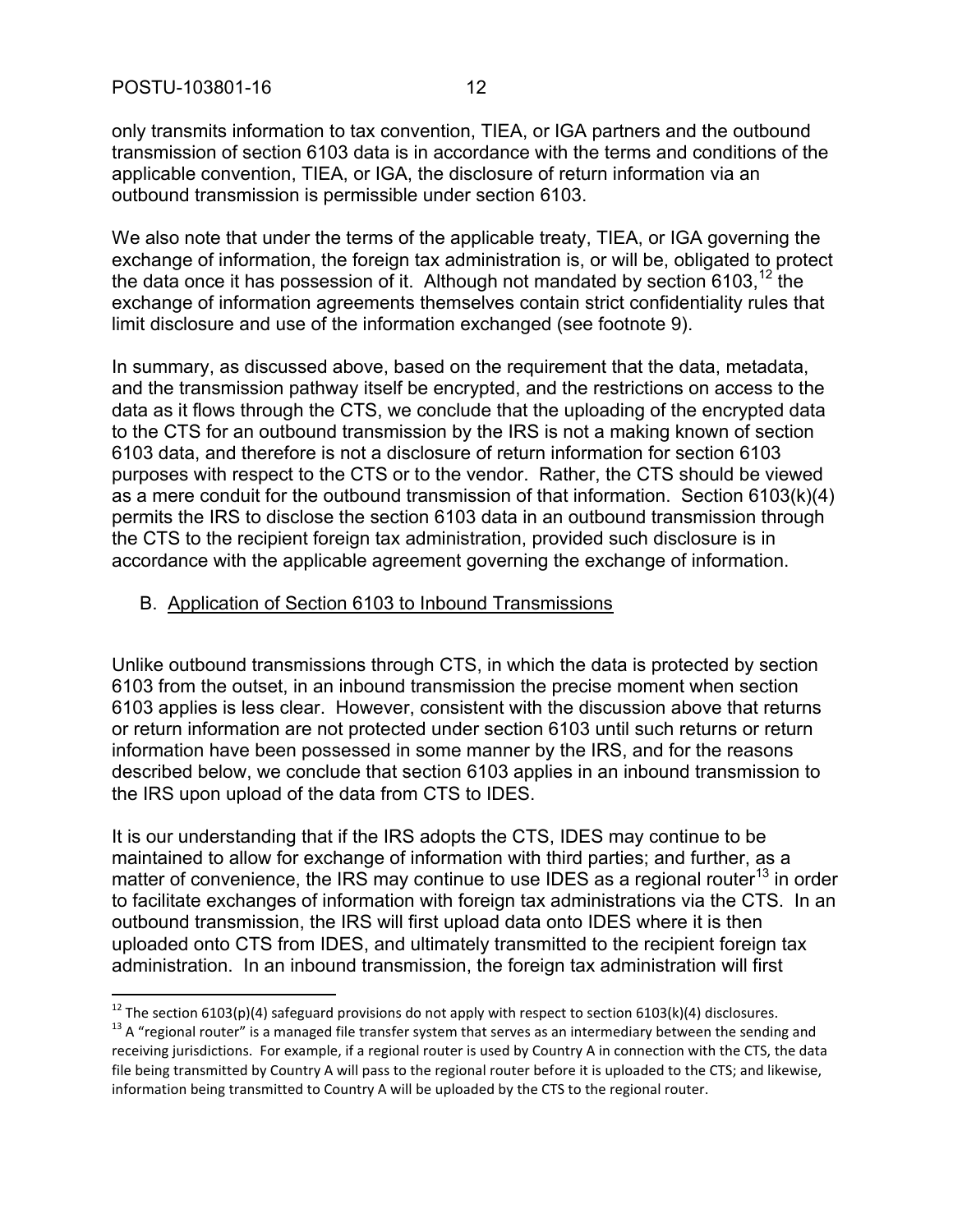l

only transmits information to tax convention, TIEA, or IGA partners and the outbound transmission of section 6103 data is in accordance with the terms and conditions of the applicable convention, TIEA, or IGA, the disclosure of return information via an outbound transmission is permissible under section 6103.

We also note that under the terms of the applicable treaty, TIEA, or IGA governing the exchange of information, the foreign tax administration is, or will be, obligated to protect the data once it has possession of it. Although not mandated by section 6103,  $^{12}$  the exchange of information agreements themselves contain strict confidentiality rules that limit disclosure and use of the information exchanged (see footnote 9).

In summary, as discussed above, based on the requirement that the data, metadata, and the transmission pathway itself be encrypted, and the restrictions on access to the data as it flows through the CTS, we conclude that the uploading of the encrypted data to the CTS for an outbound transmission by the IRS is not a making known of section 6103 data, and therefore is not a disclosure of return information for section 6103 purposes with respect to the CTS or to the vendor. Rather, the CTS should be viewed as a mere conduit for the outbound transmission of that information. Section 6103(k)(4) permits the IRS to disclose the section 6103 data in an outbound transmission through the CTS to the recipient foreign tax administration, provided such disclosure is in accordance with the applicable agreement governing the exchange of information.

#### B. Application of Section 6103 to Inbound Transmissions

Unlike outbound transmissions through CTS, in which the data is protected by section 6103 from the outset, in an inbound transmission the precise moment when section 6103 applies is less clear. However, consistent with the discussion above that returns or return information are not protected under section 6103 until such returns or return information have been possessed in some manner by the IRS, and for the reasons described below, we conclude that section 6103 applies in an inbound transmission to the IRS upon upload of the data from CTS to IDES.

It is our understanding that if the IRS adopts the CTS, IDES may continue to be maintained to allow for exchange of information with third parties; and further, as a matter of convenience, the IRS may continue to use IDES as a regional router<sup>13</sup> in order to facilitate exchanges of information with foreign tax administrations via the CTS. In an outbound transmission, the IRS will first upload data onto IDES where it is then uploaded onto CTS from IDES, and ultimately transmitted to the recipient foreign tax administration. In an inbound transmission, the foreign tax administration will first

<sup>&</sup>lt;sup>12</sup> The section 6103(p)(4) safeguard provisions do not apply with respect to section 6103(k)(4) disclosures.

 $13$  A "regional router" is a managed file transfer system that serves as an intermediary between the sending and receiving jurisdictions. For example, if a regional router is used by Country A in connection with the CTS, the data file being transmitted by Country A will pass to the regional router before it is uploaded to the CTS; and likewise, information being transmitted to Country A will be uploaded by the CTS to the regional router.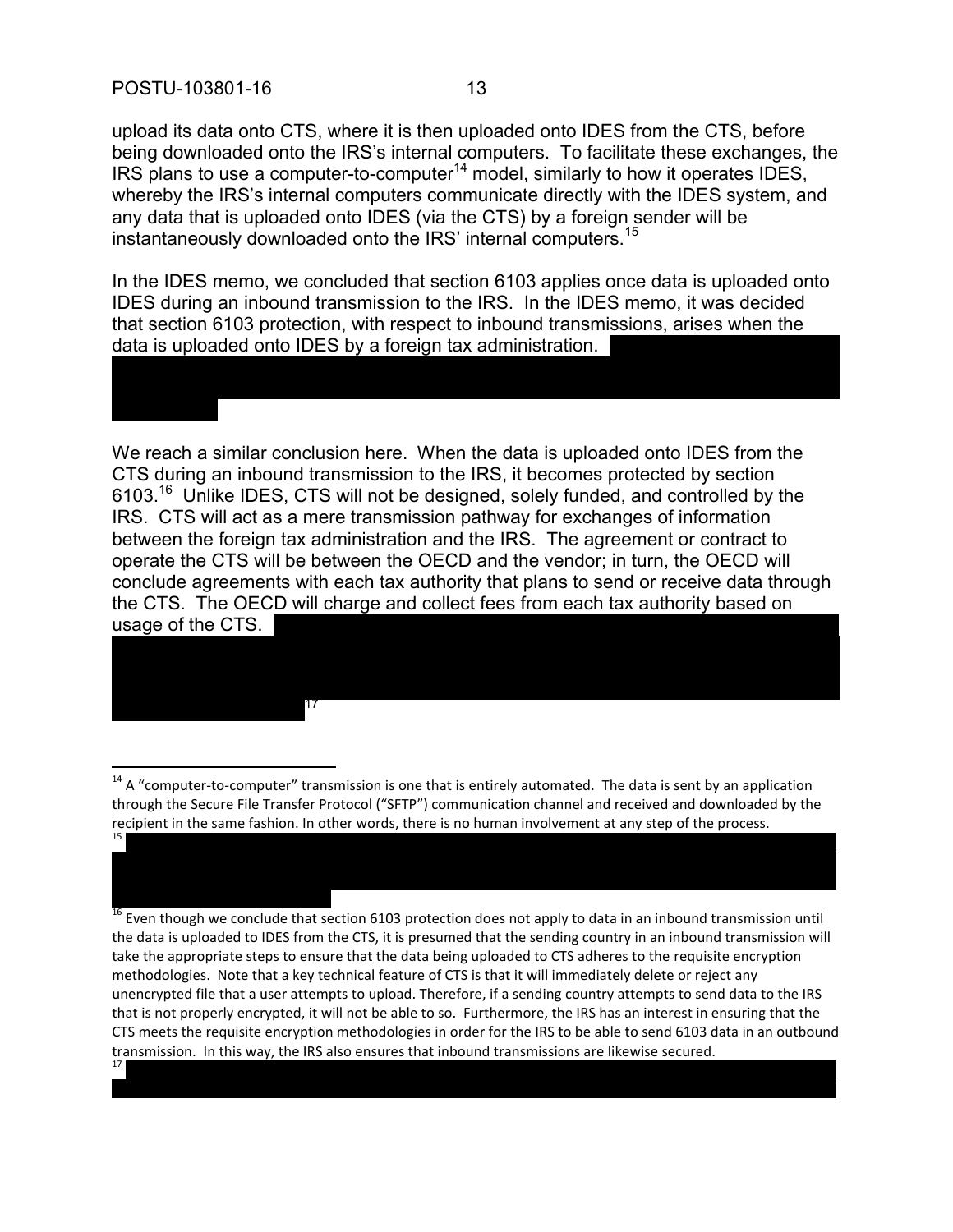upload its data onto CTS, where it is then uploaded onto IDES from the CTS, before being downloaded onto the IRS's internal computers. To facilitate these exchanges, the IRS plans to use a computer-to-computer<sup>14</sup> model, similarly to how it operates IDES, whereby the IRS's internal computers communicate directly with the IDES system, and any data that is uploaded onto IDES (via the CTS) by a foreign sender will be instantaneously downloaded onto the IRS' internal computers.<sup>15</sup>

In the IDES memo, we concluded that section 6103 applies once data is uploaded onto IDES during an inbound transmission to the IRS. In the IDES memo, it was decided that section 6103 protection, with respect to inbound transmissions, arises when the data is uploaded onto IDES by a foreign tax administration.

We reach a similar conclusion here. When the data is uploaded onto IDES from the CTS during an inbound transmission to the IRS, it becomes protected by section 6103.<sup>16</sup> Unlike IDES, CTS will not be designed, solely funded, and controlled by the IRS. CTS will act as a mere transmission pathway for exchanges of information between the foreign tax administration and the IRS. The agreement or contract to operate the CTS will be between the OECD and the vendor; in turn, the OECD will conclude agreements with each tax authority that plans to send or receive data through the CTS. The OECD will charge and collect fees from each tax authority based on usage of the CTS.

17

 $\overline{a}$ 

15

 $14$  A "computer-to-computer" transmission is one that is entirely automated. The data is sent by an application through the Secure File Transfer Protocol ("SFTP") communication channel and received and downloaded by the recipient in the same fashion. In other words, there is no human involvement at any step of the process.

<sup>16</sup> Even though we conclude that section 6103 protection does not apply to data in an inbound transmission until the data is uploaded to IDES from the CTS, it is presumed that the sending country in an inbound transmission will take the appropriate steps to ensure that the data being uploaded to CTS adheres to the requisite encryption methodologies. Note that a key technical feature of CTS is that it will immediately delete or reject any unencrypted file that a user attempts to upload. Therefore, if a sending country attempts to send data to the IRS that is not properly encrypted, it will not be able to so. Furthermore, the IRS has an interest in ensuring that the CTS meets the requisite encryption methodologies in order for the IRS to be able to send 6103 data in an outbound transmission. In this way, the IRS also ensures that inbound transmissions are likewise secured. 17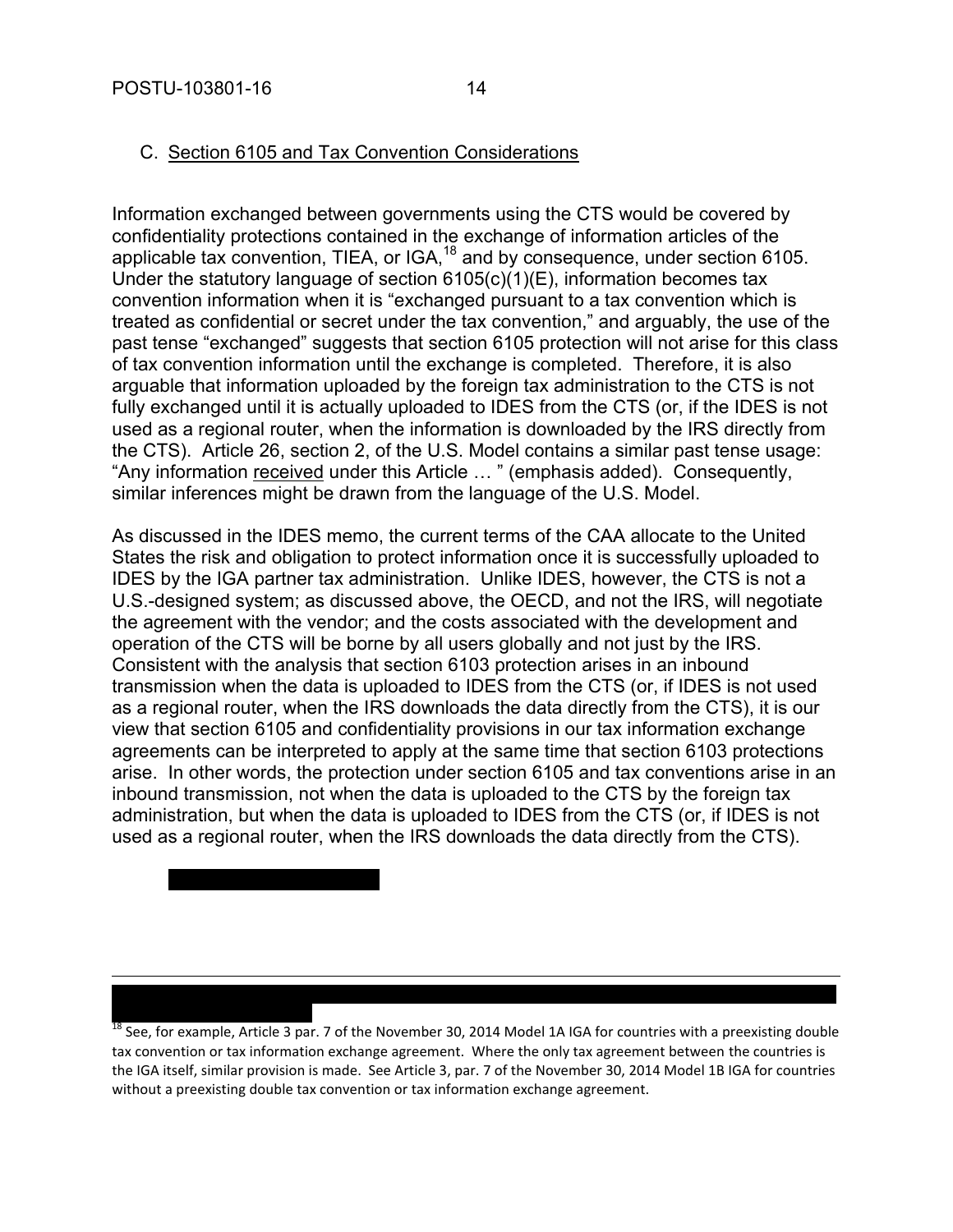$\overline{a}$ 

#### C. Section 6105 and Tax Convention Considerations

Information exchanged between governments using the CTS would be covered by confidentiality protections contained in the exchange of information articles of the applicable tax convention, TIEA, or IGA,  $18$  and by consequence, under section 6105. Under the statutory language of section  $6105(c)(1)(E)$ , information becomes tax convention information when it is "exchanged pursuant to a tax convention which is treated as confidential or secret under the tax convention," and arguably, the use of the past tense "exchanged" suggests that section 6105 protection will not arise for this class of tax convention information until the exchange is completed. Therefore, it is also arguable that information uploaded by the foreign tax administration to the CTS is not fully exchanged until it is actually uploaded to IDES from the CTS (or, if the IDES is not used as a regional router, when the information is downloaded by the IRS directly from the CTS). Article 26, section 2, of the U.S. Model contains a similar past tense usage: "Any information received under this Article … " (emphasis added). Consequently, similar inferences might be drawn from the language of the U.S. Model.

As discussed in the IDES memo, the current terms of the CAA allocate to the United States the risk and obligation to protect information once it is successfully uploaded to IDES by the IGA partner tax administration. Unlike IDES, however, the CTS is not a U.S.-designed system; as discussed above, the OECD, and not the IRS, will negotiate the agreement with the vendor; and the costs associated with the development and operation of the CTS will be borne by all users globally and not just by the IRS. Consistent with the analysis that section 6103 protection arises in an inbound transmission when the data is uploaded to IDES from the CTS (or, if IDES is not used as a regional router, when the IRS downloads the data directly from the CTS), it is our view that section 6105 and confidentiality provisions in our tax information exchange agreements can be interpreted to apply at the same time that section 6103 protections arise. In other words, the protection under section 6105 and tax conventions arise in an inbound transmission, not when the data is uploaded to the CTS by the foreign tax administration, but when the data is uploaded to IDES from the CTS (or, if IDES is not used as a regional router, when the IRS downloads the data directly from the CTS).

<sup>18</sup> See, for example, Article 3 par. 7 of the November 30, 2014 Model 1A IGA for countries with a preexisting double tax convention or tax information exchange agreement. Where the only tax agreement between the countries is the IGA itself, similar provision is made. See Article 3, par. 7 of the November 30, 2014 Model 1B IGA for countries without a preexisting double tax convention or tax information exchange agreement.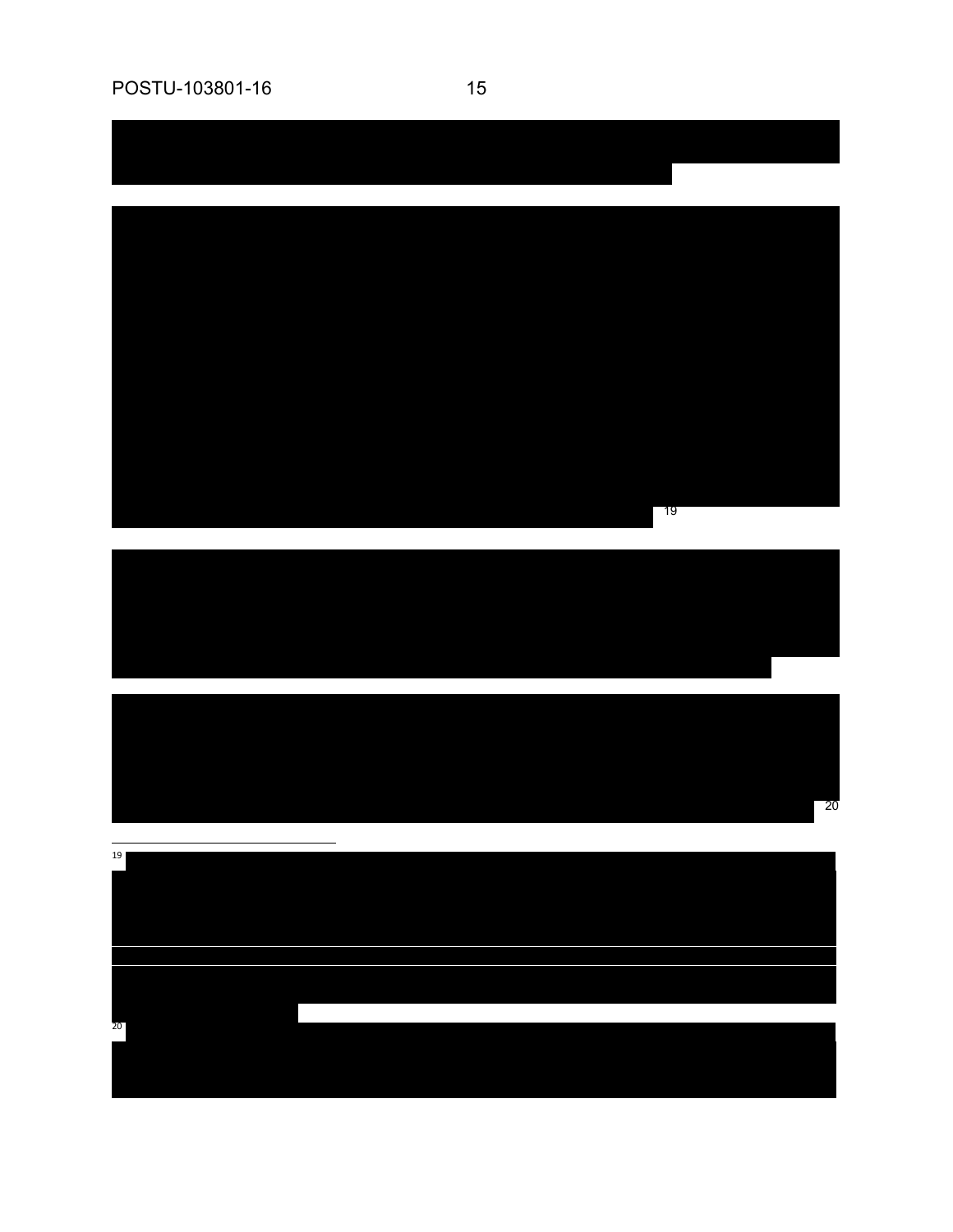